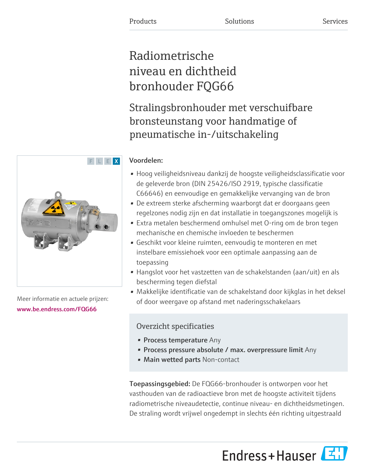# Radiometrische niveau en dichtheid bronhouder FQG66

Stralingsbronhouder met verschuifbare bronsteunstang voor handmatige of pneumatische in-/uitschakeling

### Voordelen:

- Hoog veiligheidsniveau dankzij de hoogste veiligheidsclassificatie voor de geleverde bron (DIN 25426/ISO 2919, typische classificatie C66646) en eenvoudige en gemakkelijke vervanging van de bron
- De extreem sterke afscherming waarborgt dat er doorgaans geen regelzones nodig zijn en dat installatie in toegangszones mogelijk is
- Extra metalen beschermend omhulsel met O-ring om de bron tegen mechanische en chemische invloeden te beschermen
- Geschikt voor kleine ruimten, eenvoudig te monteren en met instelbare emissiehoek voor een optimale aanpassing aan de toepassing
- Hangslot voor het vastzetten van de schakelstanden (aan/uit) en als bescherming tegen diefstal
- Makkelijke identificatie van de schakelstand door kijkglas in het deksel of door weergave op afstand met naderingsschakelaars

## Overzicht specificaties

- Process temperature Any
- Process pressure absolute / max. overpressure limit Any
- Main wetted parts Non-contact

Toepassingsgebied: De FQG66-bronhouder is ontworpen voor het vasthouden van de radioactieve bron met de hoogste activiteit tijdens radiometrische niveaudetectie, continue niveau- en dichtheidsmetingen. De straling wordt vrijwel ongedempt in slechts één richting uitgestraald





Meer informatie en actuele prijzen: [www.be.endress.com/FQG66](https://www.be.endress.com/FQG66)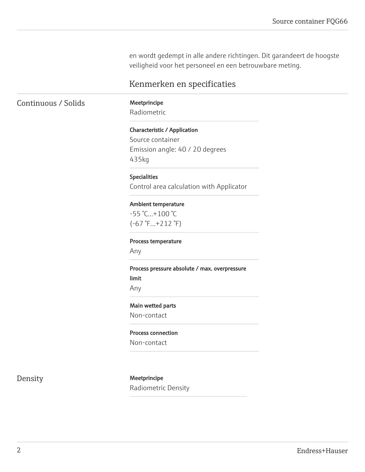en wordt gedempt in alle andere richtingen. Dit garandeert de hoogste veiligheid voor het personeel en een betrouwbare meting.

### Kenmerken en specificaties

Continuous / Solids Meetprincipe

Radiometric

#### Characteristic / Application

Source container Emission angle: 40 / 20 degrees 435kg

Specialities Control area calculation with Applicator

Ambient temperature

-55 °C...+100 °C (-67 °F...+212 °F)

Process temperature

Any

Process pressure absolute / max. overpressure limit

Any

### Main wetted parts

Non-contact

#### Process connection

Non-contact

Density Meetprincipe Radiometric Density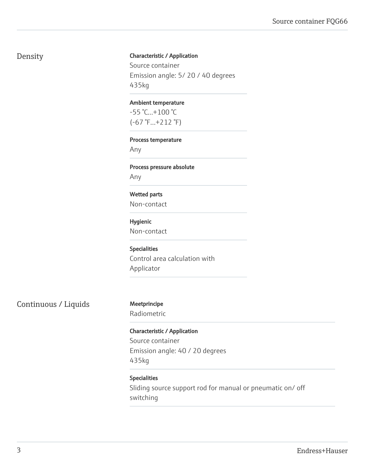### Density

#### Characteristic / Application

Source container Emission angle: 5/ 20 / 40 degrees 435kg

#### Ambient temperature

-55 °C...+100 °C (-67 °F...+212 °F)

#### Process temperature

Any

#### Process pressure absolute

Any

### Wetted parts

Non-contact

#### Hygienic

Non-contact

### Specialities

Control area calculation with Applicator

Continuous / Liquids Meetprincipe

Radiometric

#### Characteristic / Application

Source container Emission angle: 40 / 20 degrees 435kg

#### Specialities

Sliding source support rod for manual or pneumatic on/ off switching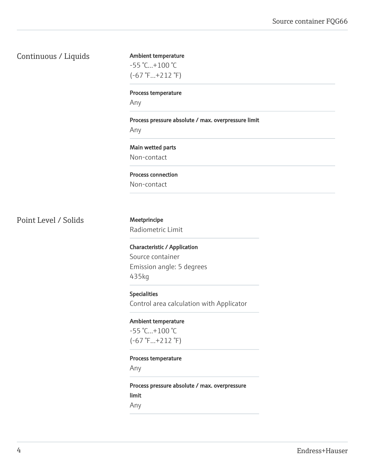### Continuous / Liquids

Ambient temperature -55 °C...+100 °C (-67 °F...+212 °F)

Process temperature

Any

Process pressure absolute / max. overpressure limit

Any

Main wetted parts Non-contact

Process connection

Non-contact

Point Level / Solids Meetprincipe

Radiometric Limit

Characteristic / Application Source container Emission angle: 5 degrees 435kg

Specialities Control area calculation with Applicator

Ambient temperature

-55 °C...+100 °C (-67 °F...+212 °F)

#### Process temperature

Any

Process pressure absolute / max. overpressure limit

Any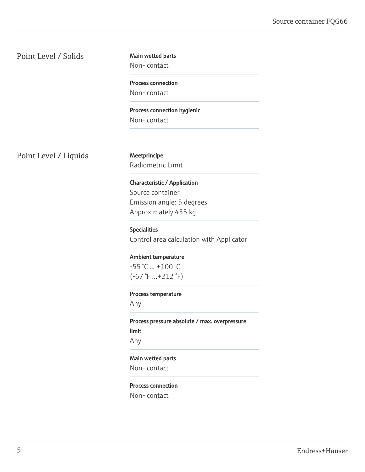Point Level / Solids

Main wetted parts

Non- contact

Process connection Non- contact

Process connection hygienic Non- contact

Point Level / Liquids Meetprincipe

Radiometric Limit

Characteristic / Application Source container Emission angle: 5 degrees Approximately 435 kg

Specialities Control area calculation with Applicator

Ambient temperature  $-55$  °C  $...+100$  °C (-67 °F ...+212 °F)

Process temperature

Any

Process pressure absolute / max. overpressure limit Any

Main wetted parts Non- contact

Process connection Non- contact